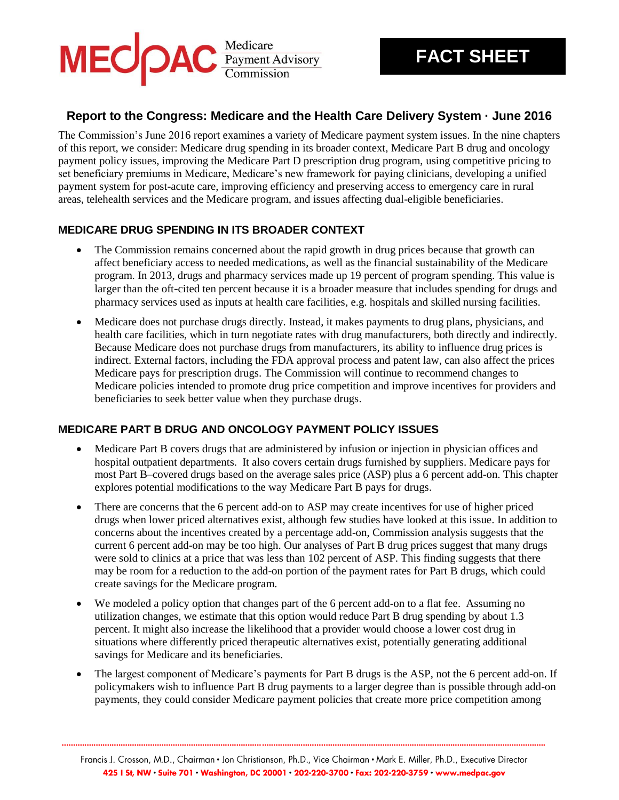

# **Report to the Congress: Medicare and the Health Care Delivery System · June 2016**

The Commission's June 2016 report examines a variety of Medicare payment system issues. In the nine chapters of this report, we consider: Medicare drug spending in its broader context, Medicare Part B drug and oncology payment policy issues, improving the Medicare Part D prescription drug program, using competitive pricing to set beneficiary premiums in Medicare, Medicare's new framework for paying clinicians, developing a unified payment system for post-acute care, improving efficiency and preserving access to emergency care in rural areas, telehealth services and the Medicare program, and issues affecting dual-eligible beneficiaries.

## **MEDICARE DRUG SPENDING IN ITS BROADER CONTEXT**

- The Commission remains concerned about the rapid growth in drug prices because that growth can affect beneficiary access to needed medications, as well as the financial sustainability of the Medicare program. In 2013, drugs and pharmacy services made up 19 percent of program spending. This value is larger than the oft-cited ten percent because it is a broader measure that includes spending for drugs and pharmacy services used as inputs at health care facilities, e.g. hospitals and skilled nursing facilities.
- Medicare does not purchase drugs directly. Instead, it makes payments to drug plans, physicians, and health care facilities, which in turn negotiate rates with drug manufacturers, both directly and indirectly. Because Medicare does not purchase drugs from manufacturers, its ability to influence drug prices is indirect. External factors, including the FDA approval process and patent law, can also affect the prices Medicare pays for prescription drugs. The Commission will continue to recommend changes to Medicare policies intended to promote drug price competition and improve incentives for providers and beneficiaries to seek better value when they purchase drugs.

#### **MEDICARE PART B DRUG AND ONCOLOGY PAYMENT POLICY ISSUES**

- Medicare Part B covers drugs that are administered by infusion or injection in physician offices and hospital outpatient departments. It also covers certain drugs furnished by suppliers. Medicare pays for most Part B–covered drugs based on the average sales price (ASP) plus a 6 percent add-on. This chapter explores potential modifications to the way Medicare Part B pays for drugs.
- There are concerns that the 6 percent add-on to ASP may create incentives for use of higher priced drugs when lower priced alternatives exist, although few studies have looked at this issue. In addition to concerns about the incentives created by a percentage add-on, Commission analysis suggests that the current 6 percent add-on may be too high. Our analyses of Part B drug prices suggest that many drugs were sold to clinics at a price that was less than 102 percent of ASP. This finding suggests that there may be room for a reduction to the add-on portion of the payment rates for Part B drugs, which could create savings for the Medicare program.
- We modeled a policy option that changes part of the 6 percent add-on to a flat fee. Assuming no utilization changes, we estimate that this option would reduce Part B drug spending by about 1.3 percent. It might also increase the likelihood that a provider would choose a lower cost drug in situations where differently priced therapeutic alternatives exist, potentially generating additional savings for Medicare and its beneficiaries.
- The largest component of Medicare's payments for Part B drugs is the ASP, not the 6 percent add-on. If policymakers wish to influence Part B drug payments to a larger degree than is possible through add-on payments, they could consider Medicare payment policies that create more price competition among

**.....................................................................................................................................................................................................................**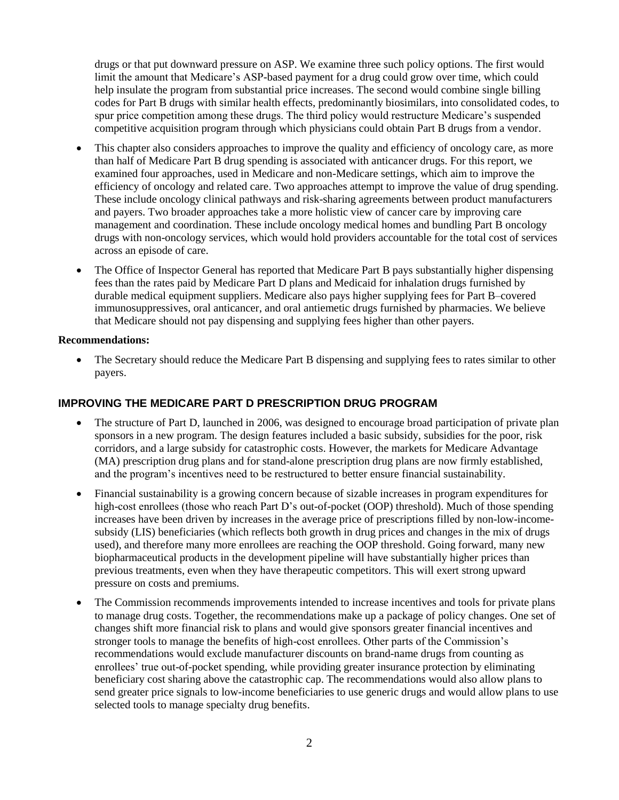drugs or that put downward pressure on ASP. We examine three such policy options. The first would limit the amount that Medicare's ASP-based payment for a drug could grow over time, which could help insulate the program from substantial price increases. The second would combine single billing codes for Part B drugs with similar health effects, predominantly biosimilars, into consolidated codes, to spur price competition among these drugs. The third policy would restructure Medicare's suspended competitive acquisition program through which physicians could obtain Part B drugs from a vendor.

- This chapter also considers approaches to improve the quality and efficiency of oncology care, as more than half of Medicare Part B drug spending is associated with anticancer drugs. For this report, we examined four approaches, used in Medicare and non-Medicare settings, which aim to improve the efficiency of oncology and related care. Two approaches attempt to improve the value of drug spending. These include oncology clinical pathways and risk-sharing agreements between product manufacturers and payers. Two broader approaches take a more holistic view of cancer care by improving care management and coordination. These include oncology medical homes and bundling Part B oncology drugs with non-oncology services, which would hold providers accountable for the total cost of services across an episode of care.
- The Office of Inspector General has reported that Medicare Part B pays substantially higher dispensing fees than the rates paid by Medicare Part D plans and Medicaid for inhalation drugs furnished by durable medical equipment suppliers. Medicare also pays higher supplying fees for Part B–covered immunosuppressives, oral anticancer, and oral antiemetic drugs furnished by pharmacies. We believe that Medicare should not pay dispensing and supplying fees higher than other payers.

#### **Recommendations:**

 The Secretary should reduce the Medicare Part B dispensing and supplying fees to rates similar to other payers.

#### **IMPROVING THE MEDICARE PART D PRESCRIPTION DRUG PROGRAM**

- The structure of Part D, launched in 2006, was designed to encourage broad participation of private plan sponsors in a new program. The design features included a basic subsidy, subsidies for the poor, risk corridors, and a large subsidy for catastrophic costs. However, the markets for Medicare Advantage (MA) prescription drug plans and for stand-alone prescription drug plans are now firmly established, and the program's incentives need to be restructured to better ensure financial sustainability.
- Financial sustainability is a growing concern because of sizable increases in program expenditures for high-cost enrollees (those who reach Part D's out-of-pocket (OOP) threshold). Much of those spending increases have been driven by increases in the average price of prescriptions filled by non-low-incomesubsidy (LIS) beneficiaries (which reflects both growth in drug prices and changes in the mix of drugs used), and therefore many more enrollees are reaching the OOP threshold. Going forward, many new biopharmaceutical products in the development pipeline will have substantially higher prices than previous treatments, even when they have therapeutic competitors. This will exert strong upward pressure on costs and premiums.
- The Commission recommends improvements intended to increase incentives and tools for private plans to manage drug costs. Together, the recommendations make up a package of policy changes. One set of changes shift more financial risk to plans and would give sponsors greater financial incentives and stronger tools to manage the benefits of high-cost enrollees. Other parts of the Commission's recommendations would exclude manufacturer discounts on brand-name drugs from counting as enrollees' true out-of-pocket spending, while providing greater insurance protection by eliminating beneficiary cost sharing above the catastrophic cap. The recommendations would also allow plans to send greater price signals to low-income beneficiaries to use generic drugs and would allow plans to use selected tools to manage specialty drug benefits.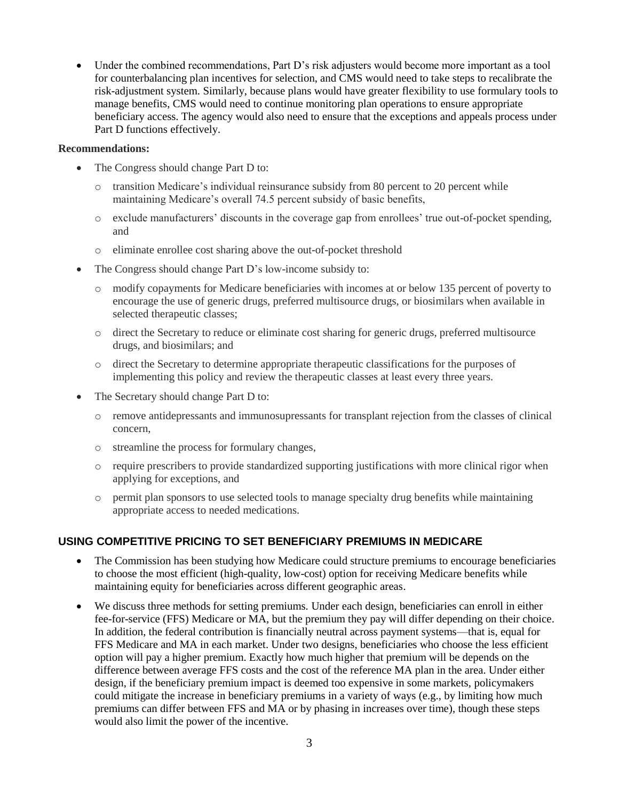Under the combined recommendations, Part D's risk adjusters would become more important as a tool for counterbalancing plan incentives for selection, and CMS would need to take steps to recalibrate the risk-adjustment system. Similarly, because plans would have greater flexibility to use formulary tools to manage benefits, CMS would need to continue monitoring plan operations to ensure appropriate beneficiary access. The agency would also need to ensure that the exceptions and appeals process under Part D functions effectively.

#### **Recommendations:**

- The Congress should change Part D to:
	- $\circ$  transition Medicare's individual reinsurance subsidy from 80 percent to 20 percent while maintaining Medicare's overall 74.5 percent subsidy of basic benefits,
	- o exclude manufacturers' discounts in the coverage gap from enrollees' true out-of-pocket spending, and
	- o eliminate enrollee cost sharing above the out-of-pocket threshold
- The Congress should change Part D's low-income subsidy to:
	- o modify copayments for Medicare beneficiaries with incomes at or below 135 percent of poverty to encourage the use of generic drugs, preferred multisource drugs, or biosimilars when available in selected therapeutic classes;
	- o direct the Secretary to reduce or eliminate cost sharing for generic drugs, preferred multisource drugs, and biosimilars; and
	- o direct the Secretary to determine appropriate therapeutic classifications for the purposes of implementing this policy and review the therapeutic classes at least every three years.
- The Secretary should change Part D to:
	- o remove antidepressants and immunosupressants for transplant rejection from the classes of clinical concern,
	- o streamline the process for formulary changes,
	- o require prescribers to provide standardized supporting justifications with more clinical rigor when applying for exceptions, and
	- o permit plan sponsors to use selected tools to manage specialty drug benefits while maintaining appropriate access to needed medications.

## **USING COMPETITIVE PRICING TO SET BENEFICIARY PREMIUMS IN MEDICARE**

- The Commission has been studying how Medicare could structure premiums to encourage beneficiaries to choose the most efficient (high-quality, low-cost) option for receiving Medicare benefits while maintaining equity for beneficiaries across different geographic areas.
- We discuss three methods for setting premiums. Under each design, beneficiaries can enroll in either fee-for-service (FFS) Medicare or MA, but the premium they pay will differ depending on their choice. In addition, the federal contribution is financially neutral across payment systems—that is, equal for FFS Medicare and MA in each market. Under two designs, beneficiaries who choose the less efficient option will pay a higher premium. Exactly how much higher that premium will be depends on the difference between average FFS costs and the cost of the reference MA plan in the area. Under either design, if the beneficiary premium impact is deemed too expensive in some markets, policymakers could mitigate the increase in beneficiary premiums in a variety of ways (e.g., by limiting how much premiums can differ between FFS and MA or by phasing in increases over time), though these steps would also limit the power of the incentive.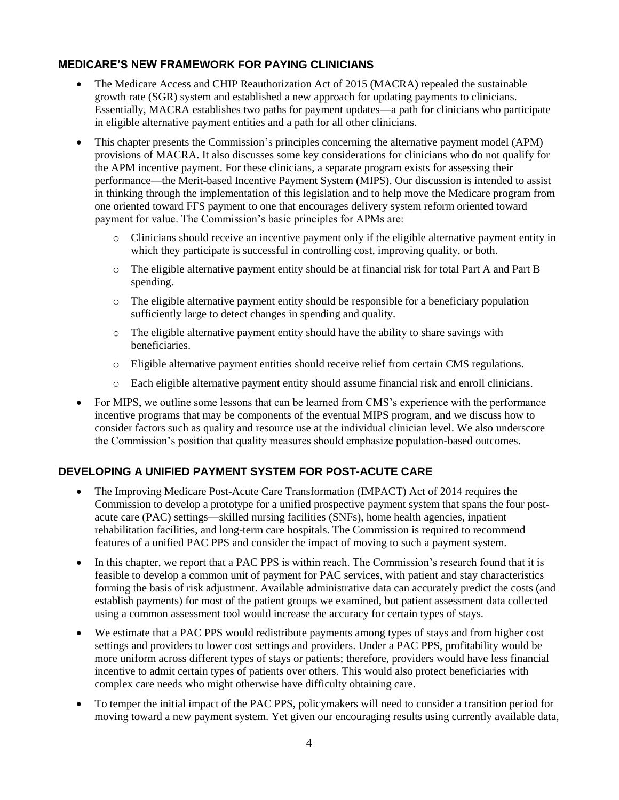### **MEDICARE'S NEW FRAMEWORK FOR PAYING CLINICIANS**

- The Medicare Access and CHIP Reauthorization Act of 2015 (MACRA) repealed the sustainable growth rate (SGR) system and established a new approach for updating payments to clinicians. Essentially, MACRA establishes two paths for payment updates—a path for clinicians who participate in eligible alternative payment entities and a path for all other clinicians.
- This chapter presents the Commission's principles concerning the alternative payment model (APM) provisions of MACRA. It also discusses some key considerations for clinicians who do not qualify for the APM incentive payment. For these clinicians, a separate program exists for assessing their performance—the Merit-based Incentive Payment System (MIPS). Our discussion is intended to assist in thinking through the implementation of this legislation and to help move the Medicare program from one oriented toward FFS payment to one that encourages delivery system reform oriented toward payment for value. The Commission's basic principles for APMs are:
	- o Clinicians should receive an incentive payment only if the eligible alternative payment entity in which they participate is successful in controlling cost, improving quality, or both.
	- o The eligible alternative payment entity should be at financial risk for total Part A and Part B spending.
	- o The eligible alternative payment entity should be responsible for a beneficiary population sufficiently large to detect changes in spending and quality.
	- $\circ$  The eligible alternative payment entity should have the ability to share savings with beneficiaries.
	- o Eligible alternative payment entities should receive relief from certain CMS regulations.
	- o Each eligible alternative payment entity should assume financial risk and enroll clinicians.
- For MIPS, we outline some lessons that can be learned from CMS's experience with the performance incentive programs that may be components of the eventual MIPS program, and we discuss how to consider factors such as quality and resource use at the individual clinician level. We also underscore the Commission's position that quality measures should emphasize population-based outcomes.

## **DEVELOPING A UNIFIED PAYMENT SYSTEM FOR POST-ACUTE CARE**

- The Improving Medicare Post-Acute Care Transformation (IMPACT) Act of 2014 requires the Commission to develop a prototype for a unified prospective payment system that spans the four postacute care (PAC) settings—skilled nursing facilities (SNFs), home health agencies, inpatient rehabilitation facilities, and long-term care hospitals. The Commission is required to recommend features of a unified PAC PPS and consider the impact of moving to such a payment system.
- In this chapter, we report that a PAC PPS is within reach. The Commission's research found that it is feasible to develop a common unit of payment for PAC services, with patient and stay characteristics forming the basis of risk adjustment. Available administrative data can accurately predict the costs (and establish payments) for most of the patient groups we examined, but patient assessment data collected using a common assessment tool would increase the accuracy for certain types of stays.
- We estimate that a PAC PPS would redistribute payments among types of stays and from higher cost settings and providers to lower cost settings and providers. Under a PAC PPS, profitability would be more uniform across different types of stays or patients; therefore, providers would have less financial incentive to admit certain types of patients over others. This would also protect beneficiaries with complex care needs who might otherwise have difficulty obtaining care.
- To temper the initial impact of the PAC PPS, policymakers will need to consider a transition period for moving toward a new payment system. Yet given our encouraging results using currently available data,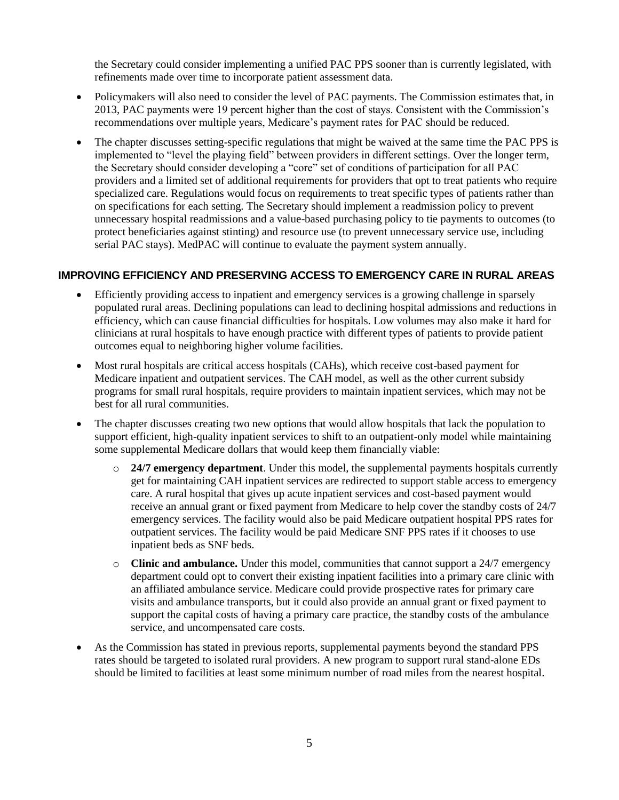the Secretary could consider implementing a unified PAC PPS sooner than is currently legislated, with refinements made over time to incorporate patient assessment data.

- Policymakers will also need to consider the level of PAC payments. The Commission estimates that, in 2013, PAC payments were 19 percent higher than the cost of stays. Consistent with the Commission's recommendations over multiple years, Medicare's payment rates for PAC should be reduced.
- The chapter discusses setting-specific regulations that might be waived at the same time the PAC PPS is implemented to "level the playing field" between providers in different settings. Over the longer term, the Secretary should consider developing a "core" set of conditions of participation for all PAC providers and a limited set of additional requirements for providers that opt to treat patients who require specialized care. Regulations would focus on requirements to treat specific types of patients rather than on specifications for each setting. The Secretary should implement a readmission policy to prevent unnecessary hospital readmissions and a value-based purchasing policy to tie payments to outcomes (to protect beneficiaries against stinting) and resource use (to prevent unnecessary service use, including serial PAC stays). MedPAC will continue to evaluate the payment system annually.

#### **IMPROVING EFFICIENCY AND PRESERVING ACCESS TO EMERGENCY CARE IN RURAL AREAS**

- Efficiently providing access to inpatient and emergency services is a growing challenge in sparsely populated rural areas. Declining populations can lead to declining hospital admissions and reductions in efficiency, which can cause financial difficulties for hospitals. Low volumes may also make it hard for clinicians at rural hospitals to have enough practice with different types of patients to provide patient outcomes equal to neighboring higher volume facilities.
- Most rural hospitals are critical access hospitals (CAHs), which receive cost-based payment for Medicare inpatient and outpatient services. The CAH model, as well as the other current subsidy programs for small rural hospitals, require providers to maintain inpatient services, which may not be best for all rural communities.
- The chapter discusses creating two new options that would allow hospitals that lack the population to support efficient, high-quality inpatient services to shift to an outpatient-only model while maintaining some supplemental Medicare dollars that would keep them financially viable:
	- o **24/7 emergency department**. Under this model, the supplemental payments hospitals currently get for maintaining CAH inpatient services are redirected to support stable access to emergency care. A rural hospital that gives up acute inpatient services and cost-based payment would receive an annual grant or fixed payment from Medicare to help cover the standby costs of 24/7 emergency services. The facility would also be paid Medicare outpatient hospital PPS rates for outpatient services. The facility would be paid Medicare SNF PPS rates if it chooses to use inpatient beds as SNF beds.
	- o **Clinic and ambulance.** Under this model, communities that cannot support a 24/7 emergency department could opt to convert their existing inpatient facilities into a primary care clinic with an affiliated ambulance service. Medicare could provide prospective rates for primary care visits and ambulance transports, but it could also provide an annual grant or fixed payment to support the capital costs of having a primary care practice, the standby costs of the ambulance service, and uncompensated care costs.
- As the Commission has stated in previous reports, supplemental payments beyond the standard PPS rates should be targeted to isolated rural providers. A new program to support rural stand-alone EDs should be limited to facilities at least some minimum number of road miles from the nearest hospital.